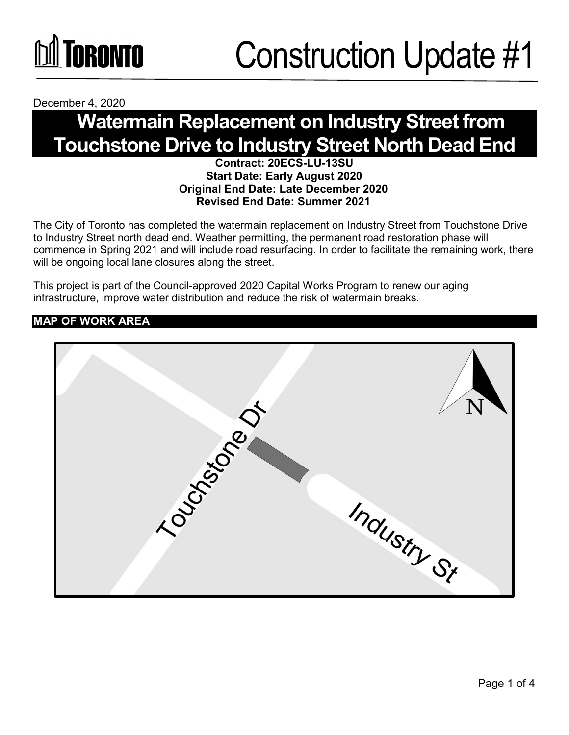

December 4, 2020

### **Watermain Replacement on Industry Street from Touchstone Drive to Industry Street North Dead End**

#### **Contract: 20ECS-LU-13SU Start Date: Early August 2020 Original End Date: Late December 2020 Revised End Date: Summer 2021**

The City of Toronto has completed the watermain replacement on Industry Street from Touchstone Drive to Industry Street north dead end. Weather permitting, the permanent road restoration phase will commence in Spring 2021 and will include road resurfacing. In order to facilitate the remaining work, there will be ongoing local lane closures along the street.

This project is part of the Council-approved 2020 Capital Works Program to renew our aging infrastructure, improve water distribution and reduce the risk of watermain breaks.

#### **MAP OF WORK AREA**

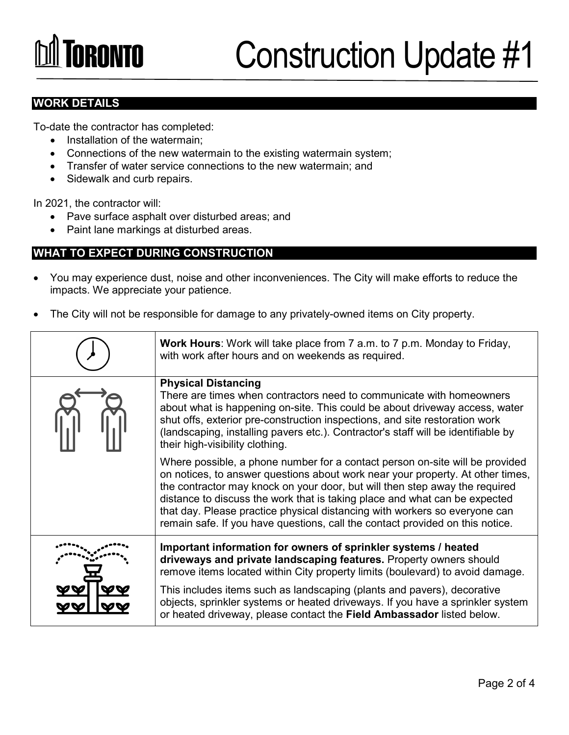# **TORONTO**

### Construction Update #1

#### **WORK DETAILS**

To-date the contractor has completed:

- Installation of the watermain;
- Connections of the new watermain to the existing watermain system;
- Transfer of water service connections to the new watermain; and
- Sidewalk and curb repairs.

In 2021, the contractor will:

- Pave surface asphalt over disturbed areas; and
- Paint lane markings at disturbed areas.

#### **WHAT TO EXPECT DURING CONSTRUCTION**

- You may experience dust, noise and other inconveniences. The City will make efforts to reduce the impacts. We appreciate your patience.
- The City will not be responsible for damage to any privately-owned items on City property.

| Work Hours: Work will take place from 7 a.m. to 7 p.m. Monday to Friday,<br>with work after hours and on weekends as required.                                                                                                                                                                                                                                                                                                                                                             |
|--------------------------------------------------------------------------------------------------------------------------------------------------------------------------------------------------------------------------------------------------------------------------------------------------------------------------------------------------------------------------------------------------------------------------------------------------------------------------------------------|
| <b>Physical Distancing</b><br>There are times when contractors need to communicate with homeowners<br>about what is happening on-site. This could be about driveway access, water<br>shut offs, exterior pre-construction inspections, and site restoration work<br>(landscaping, installing pavers etc.). Contractor's staff will be identifiable by<br>their high-visibility clothing.                                                                                                   |
| Where possible, a phone number for a contact person on-site will be provided<br>on notices, to answer questions about work near your property. At other times,<br>the contractor may knock on your door, but will then step away the required<br>distance to discuss the work that is taking place and what can be expected<br>that day. Please practice physical distancing with workers so everyone can<br>remain safe. If you have questions, call the contact provided on this notice. |
| Important information for owners of sprinkler systems / heated<br>driveways and private landscaping features. Property owners should<br>remove items located within City property limits (boulevard) to avoid damage.                                                                                                                                                                                                                                                                      |
| This includes items such as landscaping (plants and pavers), decorative<br>objects, sprinkler systems or heated driveways. If you have a sprinkler system<br>or heated driveway, please contact the Field Ambassador listed below.                                                                                                                                                                                                                                                         |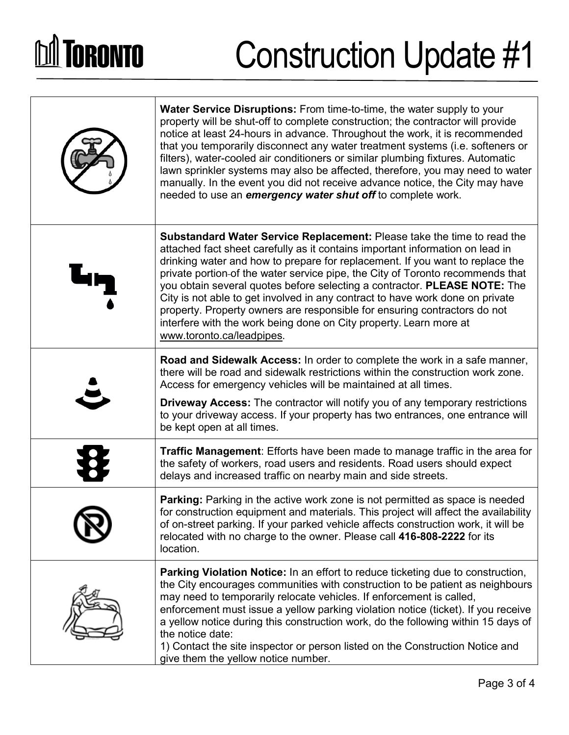# **DA TORONTO**

## Construction Update #1

| Water Service Disruptions: From time-to-time, the water supply to your<br>property will be shut-off to complete construction; the contractor will provide<br>notice at least 24-hours in advance. Throughout the work, it is recommended<br>that you temporarily disconnect any water treatment systems (i.e. softeners or<br>filters), water-cooled air conditioners or similar plumbing fixtures. Automatic<br>lawn sprinkler systems may also be affected, therefore, you may need to water<br>manually. In the event you did not receive advance notice, the City may have<br>needed to use an <i>emergency water shut off</i> to complete work.                             |
|----------------------------------------------------------------------------------------------------------------------------------------------------------------------------------------------------------------------------------------------------------------------------------------------------------------------------------------------------------------------------------------------------------------------------------------------------------------------------------------------------------------------------------------------------------------------------------------------------------------------------------------------------------------------------------|
| <b>Substandard Water Service Replacement:</b> Please take the time to read the<br>attached fact sheet carefully as it contains important information on lead in<br>drinking water and how to prepare for replacement. If you want to replace the<br>private portion-of the water service pipe, the City of Toronto recommends that<br>you obtain several quotes before selecting a contractor. PLEASE NOTE: The<br>City is not able to get involved in any contract to have work done on private<br>property. Property owners are responsible for ensuring contractors do not<br>interfere with the work being done on City property. Learn more at<br>www.toronto.ca/leadpipes. |
| <b>Road and Sidewalk Access:</b> In order to complete the work in a safe manner,<br>there will be road and sidewalk restrictions within the construction work zone.<br>Access for emergency vehicles will be maintained at all times.<br><b>Driveway Access:</b> The contractor will notify you of any temporary restrictions<br>to your driveway access. If your property has two entrances, one entrance will<br>be kept open at all times.                                                                                                                                                                                                                                    |
| <b>Traffic Management:</b> Efforts have been made to manage traffic in the area for<br>the safety of workers, road users and residents. Road users should expect<br>delays and increased traffic on nearby main and side streets.                                                                                                                                                                                                                                                                                                                                                                                                                                                |
| Parking: Parking in the active work zone is not permitted as space is needed<br>for construction equipment and materials. This project will affect the availability<br>of on-street parking. If your parked vehicle affects construction work, it will be<br>relocated with no charge to the owner. Please call 416-808-2222 for its<br>location.                                                                                                                                                                                                                                                                                                                                |
| Parking Violation Notice: In an effort to reduce ticketing due to construction,<br>the City encourages communities with construction to be patient as neighbours<br>may need to temporarily relocate vehicles. If enforcement is called,<br>enforcement must issue a yellow parking violation notice (ticket). If you receive<br>a yellow notice during this construction work, do the following within 15 days of<br>the notice date:<br>1) Contact the site inspector or person listed on the Construction Notice and<br>give them the yellow notice number.                                                                                                                   |